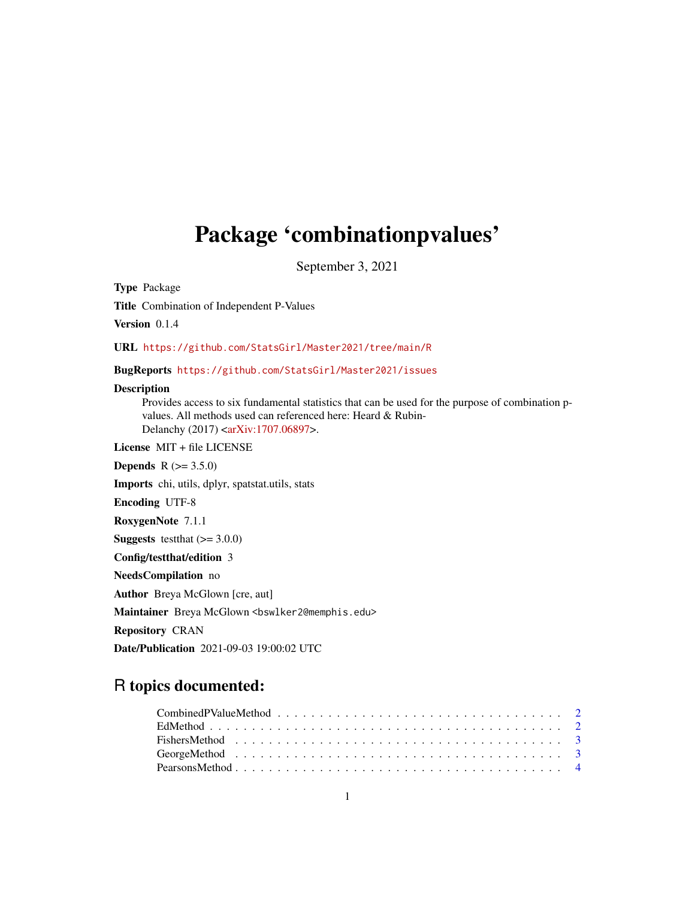## Package 'combinationpvalues'

September 3, 2021

Type Package

Title Combination of Independent P-Values

Version 0.1.4

URL <https://github.com/StatsGirl/Master2021/tree/main/R>

#### BugReports <https://github.com/StatsGirl/Master2021/issues>

#### Description

Provides access to six fundamental statistics that can be used for the purpose of combination pvalues. All methods used can referenced here: Heard & Rubin-Delanchy (2017) [<arXiv:1707.06897>](https://arxiv.org/abs/1707.06897).

License MIT + file LICENSE

**Depends**  $R (= 3.5.0)$ 

Imports chi, utils, dplyr, spatstat.utils, stats

Encoding UTF-8

RoxygenNote 7.1.1

**Suggests** testthat  $(>= 3.0.0)$ 

Config/testthat/edition 3

NeedsCompilation no

Author Breya McGlown [cre, aut]

Maintainer Breya McGlown <br/>bswlker2@memphis.edu>

Repository CRAN

Date/Publication 2021-09-03 19:00:02 UTC

### R topics documented:

| $Combined PValueMethod \dots \dots \dots \dots \dots \dots \dots \dots \dots \dots \dots \dots \dots \dots \dots \dots$ |  |  |  |  |  |  |  |  |  |  |  |  |  |  |  |
|-------------------------------------------------------------------------------------------------------------------------|--|--|--|--|--|--|--|--|--|--|--|--|--|--|--|
|                                                                                                                         |  |  |  |  |  |  |  |  |  |  |  |  |  |  |  |
|                                                                                                                         |  |  |  |  |  |  |  |  |  |  |  |  |  |  |  |
|                                                                                                                         |  |  |  |  |  |  |  |  |  |  |  |  |  |  |  |
|                                                                                                                         |  |  |  |  |  |  |  |  |  |  |  |  |  |  |  |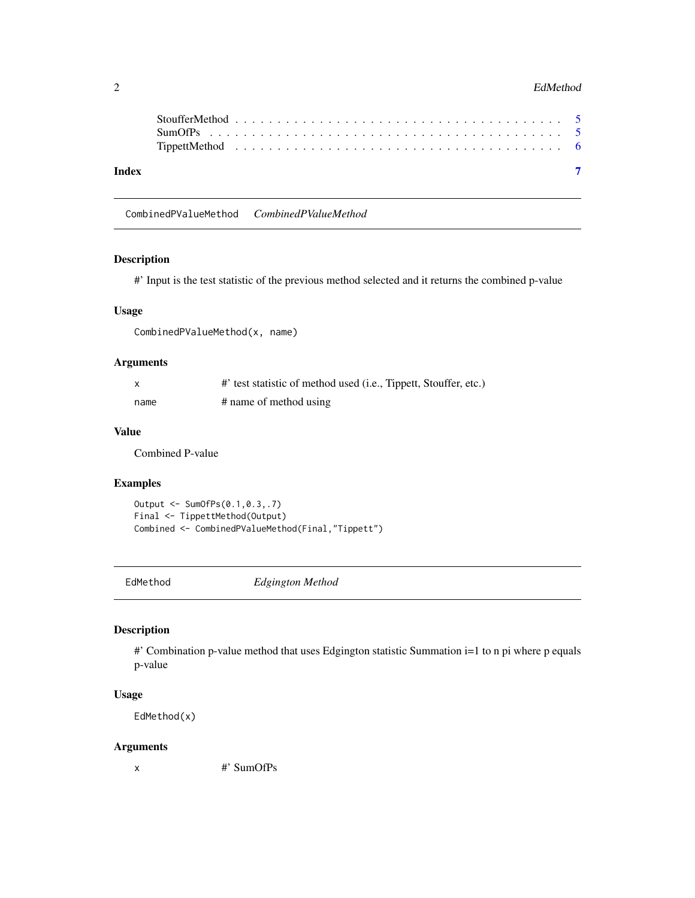#### <span id="page-1-0"></span>2 EdMethod

| Index |  |  |  |  |  |  |  |  |  |  |  |  |  |  |  |  |  |  |  |  |
|-------|--|--|--|--|--|--|--|--|--|--|--|--|--|--|--|--|--|--|--|--|

CombinedPValueMethod *CombinedPValueMethod*

#### Description

#' Input is the test statistic of the previous method selected and it returns the combined p-value

#### Usage

CombinedPValueMethod(x, name)

#### Arguments

| X    | #' test statistic of method used (i.e., Tippett, Stouffer, etc.) |
|------|------------------------------------------------------------------|
| name | # name of method using                                           |

#### Value

Combined P-value

#### Examples

```
Output <- SumOfPs(0.1,0.3,.7)
Final <- TippettMethod(Output)
Combined <- CombinedPValueMethod(Final,"Tippett")
```
EdMethod *Edgington Method*

#### Description

#' Combination p-value method that uses Edgington statistic Summation i=1 to n pi where p equals p-value

#### Usage

EdMethod(x)

#### Arguments

x #' SumOfPs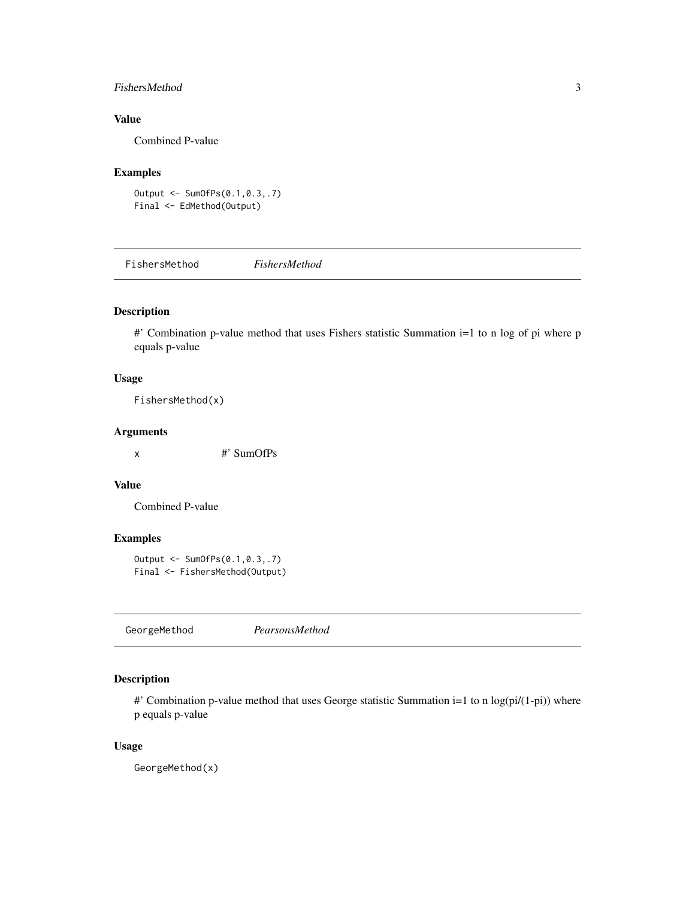#### <span id="page-2-0"></span>FishersMethod 3

#### Value

Combined P-value

#### Examples

```
Output <- SumOfPs(0.1,0.3,.7)
Final <- EdMethod(Output)
```
FishersMethod *FishersMethod*

#### Description

#' Combination p-value method that uses Fishers statistic Summation i=1 to n log of pi where p equals p-value

#### Usage

FishersMethod(x)

#### Arguments

x #' SumOfPs

#### Value

Combined P-value

#### Examples

```
Output <- SumOfPs(0.1,0.3,.7)
Final <- FishersMethod(Output)
```
GeorgeMethod *PearsonsMethod*

#### Description

#' Combination p-value method that uses George statistic Summation i=1 to n log(pi/(1-pi)) where p equals p-value

#### Usage

GeorgeMethod(x)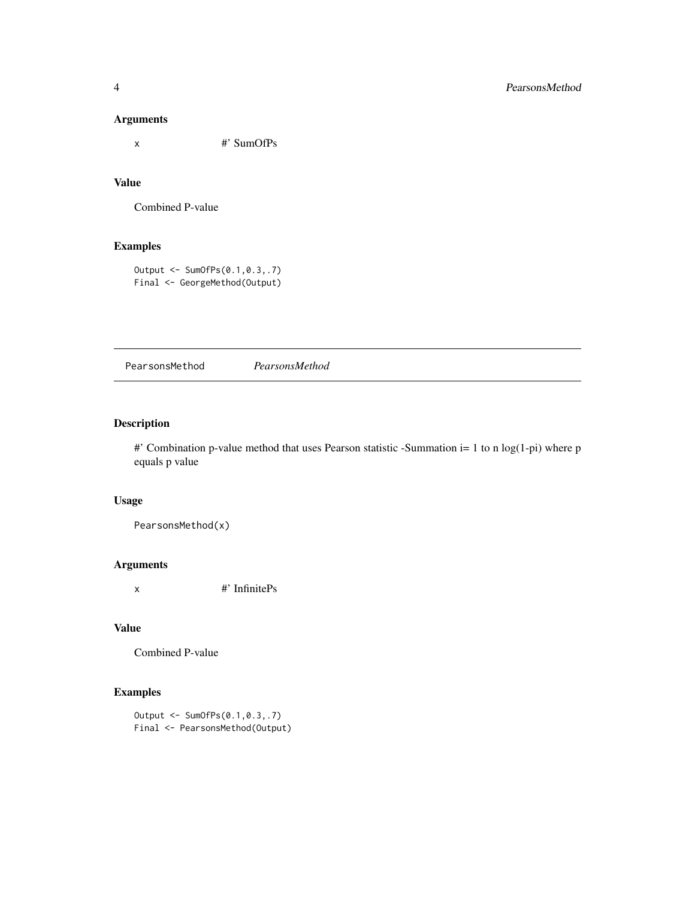#### <span id="page-3-0"></span>Arguments

x #' SumOfPs

#### Value

Combined P-value

#### Examples

Output <- SumOfPs(0.1,0.3,.7) Final <- GeorgeMethod(Output)

PearsonsMethod *PearsonsMethod*

#### Description

#' Combination p-value method that uses Pearson statistic -Summation i= 1 to n log(1-pi) where p equals p value

#### Usage

PearsonsMethod(x)

#### Arguments

x #' InfinitePs

#### Value

```
Combined P-value
```
#### Examples

Output <- SumOfPs(0.1,0.3,.7) Final <- PearsonsMethod(Output)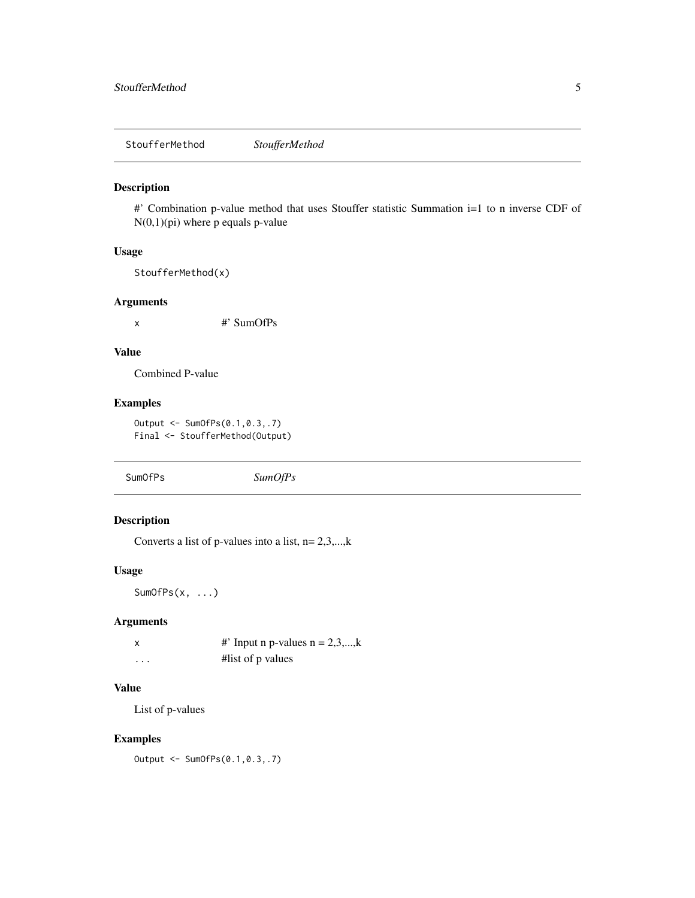<span id="page-4-0"></span>StoufferMethod *StoufferMethod*

#### Description

#' Combination p-value method that uses Stouffer statistic Summation i=1 to n inverse CDF of N(0,1)(pi) where p equals p-value

#### Usage

StoufferMethod(x)

#### Arguments

x #' SumOfPs

#### Value

Combined P-value

#### Examples

Output <- SumOfPs(0.1,0.3,.7) Final <- StoufferMethod(Output)

SumOfPs *SumOfPs*

#### Description

Converts a list of p-values into a list,  $n=2,3,...,k$ 

#### Usage

SumOfPs(x, ...)

#### Arguments

|   | #' Input n p-values $n = 2,3,,k$ |
|---|----------------------------------|
| . | #list of p values                |

#### Value

List of p-values

#### Examples

Output <- SumOfPs(0.1,0.3,.7)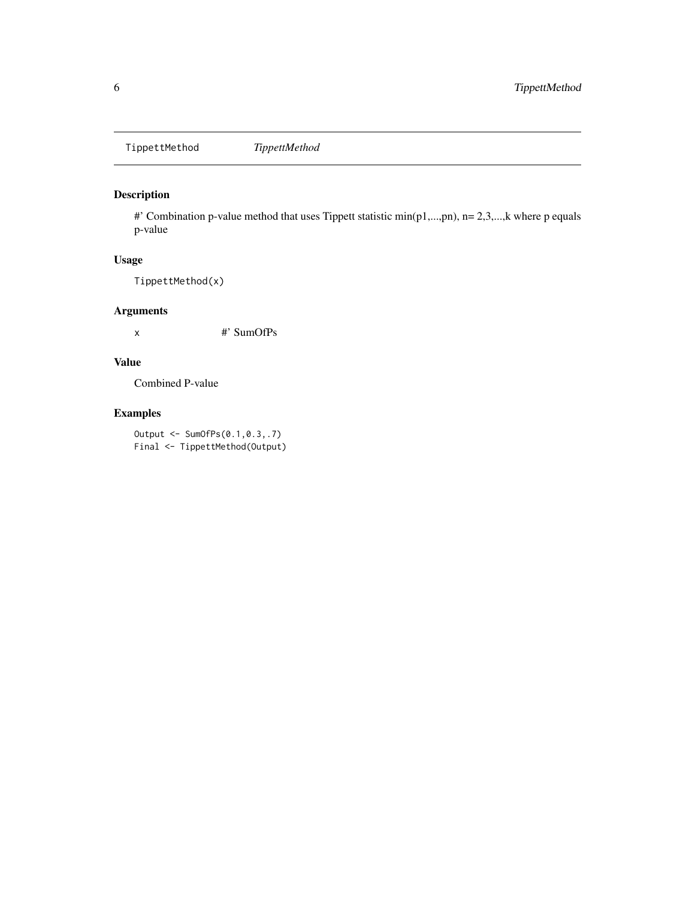<span id="page-5-0"></span>TippettMethod *TippettMethod*

#### Description

#' Combination p-value method that uses Tippett statistic min(p1,...,pn), n= 2,3,...,k where p equals p-value

#### Usage

TippettMethod(x)

#### Arguments

x #' SumOfPs

#### Value

Combined P-value

#### Examples

Output <- SumOfPs(0.1,0.3,.7) Final <- TippettMethod(Output)